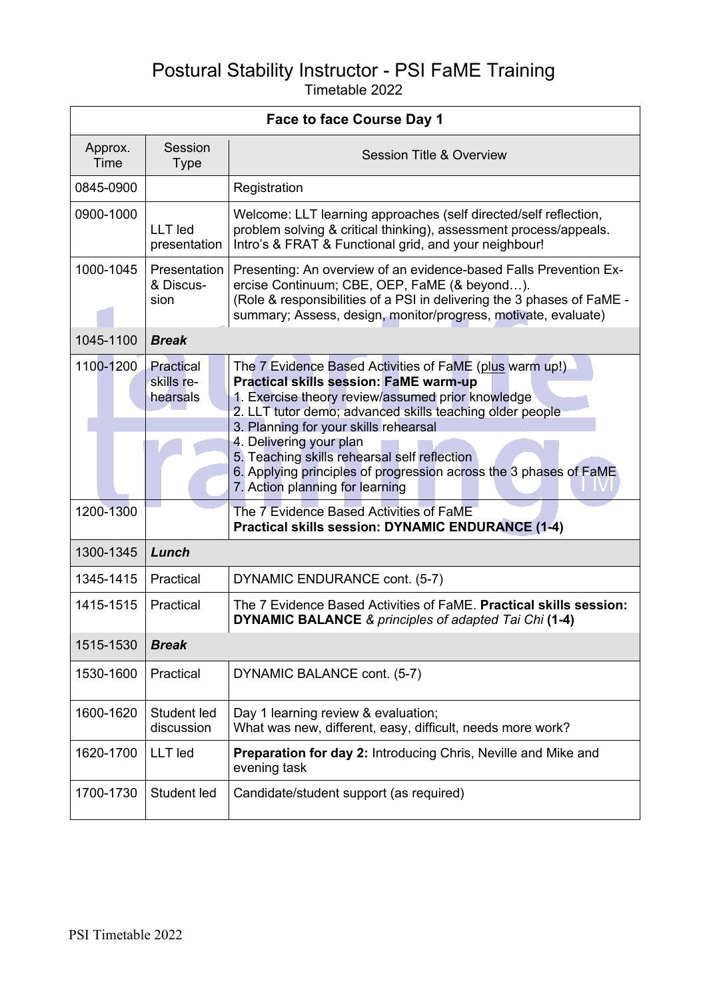## Postural Stability Instructor - PSI FaME Training Timetable 2022

| <b>Face to face Course Day 1</b> |                                          |                                                                                                                                                                                                                                                                                                                                                                                                                                                       |  |  |  |
|----------------------------------|------------------------------------------|-------------------------------------------------------------------------------------------------------------------------------------------------------------------------------------------------------------------------------------------------------------------------------------------------------------------------------------------------------------------------------------------------------------------------------------------------------|--|--|--|
| Approx.<br>Time                  | Session<br><b>Type</b>                   | Session Title & Overview                                                                                                                                                                                                                                                                                                                                                                                                                              |  |  |  |
| 0845-0900                        |                                          | Registration                                                                                                                                                                                                                                                                                                                                                                                                                                          |  |  |  |
| 0900-1000                        | LLT led<br>presentation                  | Welcome: LLT learning approaches (self directed/self reflection,<br>problem solving & critical thinking), assessment process/appeals.<br>Intro's & FRAT & Functional grid, and your neighbour!                                                                                                                                                                                                                                                        |  |  |  |
| 1000-1045                        | <b>Presentation</b><br>& Discus-<br>sion | Presenting: An overview of an evidence-based Falls Prevention Ex-<br>ercise Continuum; CBE, OEP, FaME (& beyond).<br>(Role & responsibilities of a PSI in delivering the 3 phases of FaME -<br>summary; Assess, design, monitor/progress, motivate, evaluate)                                                                                                                                                                                         |  |  |  |
| 1045-1100                        | <b>Break</b>                             |                                                                                                                                                                                                                                                                                                                                                                                                                                                       |  |  |  |
| 1100-1200                        | Practical<br>skills re-<br>hearsals      | The 7 Evidence Based Activities of FaME (plus warm up!)<br><b>Practical skills session: FaME warm-up</b><br>1. Exercise theory review/assumed prior knowledge<br>2. LLT tutor demo; advanced skills teaching older people<br>3. Planning for your skills rehearsal<br>4. Delivering your plan<br>5. Teaching skills rehearsal self reflection<br>6. Applying principles of progression across the 3 phases of FaME<br>7. Action planning for learning |  |  |  |
| 1200-1300                        |                                          | The 7 Evidence Based Activities of FaME<br><b>Practical skills session: DYNAMIC ENDURANCE (1-4)</b>                                                                                                                                                                                                                                                                                                                                                   |  |  |  |
| 1300-1345                        | Lunch                                    |                                                                                                                                                                                                                                                                                                                                                                                                                                                       |  |  |  |
| 1345-1415                        | Practical                                | DYNAMIC ENDURANCE cont. (5-7)                                                                                                                                                                                                                                                                                                                                                                                                                         |  |  |  |
| 1415-1515                        | Practical                                | The 7 Evidence Based Activities of FaME. Practical skills session:<br><b>DYNAMIC BALANCE &amp; principles of adapted Tai Chi (1-4)</b>                                                                                                                                                                                                                                                                                                                |  |  |  |
| 1515-1530                        | <b>Break</b>                             |                                                                                                                                                                                                                                                                                                                                                                                                                                                       |  |  |  |
| 1530-1600                        | Practical                                | DYNAMIC BALANCE cont. (5-7)                                                                                                                                                                                                                                                                                                                                                                                                                           |  |  |  |
| 1600-1620                        | Student led<br>discussion                | Day 1 learning review & evaluation;<br>What was new, different, easy, difficult, needs more work?                                                                                                                                                                                                                                                                                                                                                     |  |  |  |
| 1620-1700                        | <b>LLT</b> led                           | Preparation for day 2: Introducing Chris, Neville and Mike and<br>evening task                                                                                                                                                                                                                                                                                                                                                                        |  |  |  |
| 1700-1730                        | Student led                              | Candidate/student support (as required)                                                                                                                                                                                                                                                                                                                                                                                                               |  |  |  |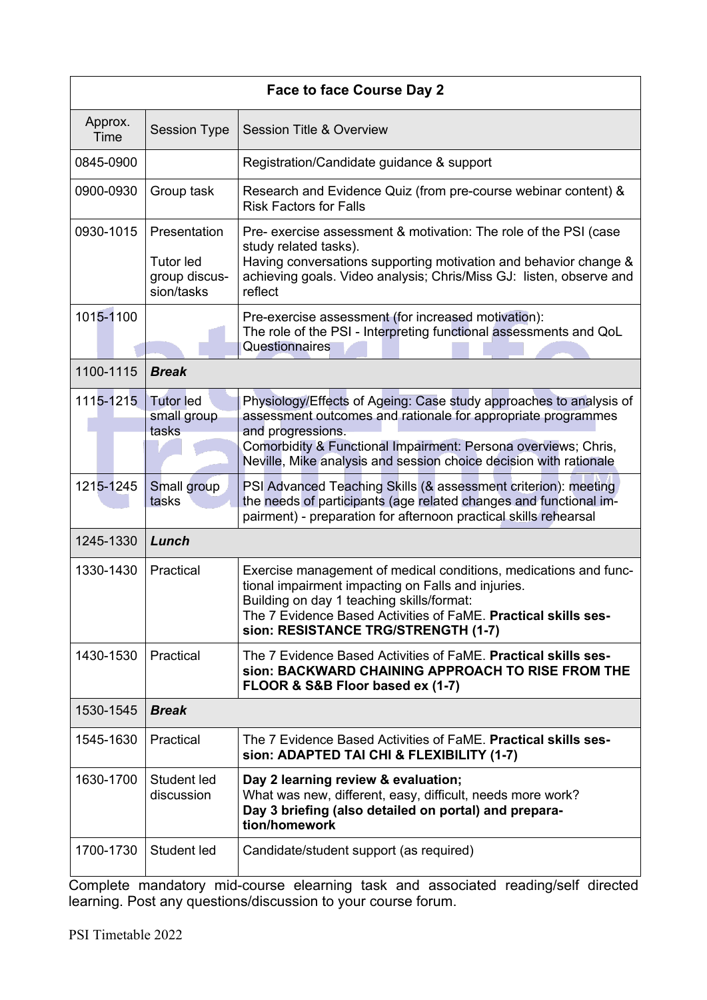| <b>Face to face Course Day 2</b> |                                                                 |                                                                                                                                                                                                                                                                                                |  |  |  |
|----------------------------------|-----------------------------------------------------------------|------------------------------------------------------------------------------------------------------------------------------------------------------------------------------------------------------------------------------------------------------------------------------------------------|--|--|--|
| Approx.<br>Time                  | <b>Session Type</b>                                             | <b>Session Title &amp; Overview</b>                                                                                                                                                                                                                                                            |  |  |  |
| 0845-0900                        |                                                                 | Registration/Candidate guidance & support                                                                                                                                                                                                                                                      |  |  |  |
| 0900-0930                        | Group task                                                      | Research and Evidence Quiz (from pre-course webinar content) &<br><b>Risk Factors for Falls</b>                                                                                                                                                                                                |  |  |  |
| 0930-1015                        | Presentation<br><b>Tutor led</b><br>group discus-<br>sion/tasks | Pre- exercise assessment & motivation: The role of the PSI (case<br>study related tasks).<br>Having conversations supporting motivation and behavior change &<br>achieving goals. Video analysis; Chris/Miss GJ: listen, observe and<br>reflect                                                |  |  |  |
| 1015-1100                        |                                                                 | Pre-exercise assessment (for increased motivation):<br>The role of the PSI - Interpreting functional assessments and QoL<br>Questionnaires                                                                                                                                                     |  |  |  |
| 1100-1115                        | <b>Break</b>                                                    |                                                                                                                                                                                                                                                                                                |  |  |  |
| 1115-1215                        | <b>Tutor led</b><br>small group<br>tasks                        | Physiology/Effects of Ageing: Case study approaches to analysis of<br>assessment outcomes and rationale for appropriate programmes<br>and progressions.<br>Comorbidity & Functional Impairment: Persona overviews; Chris,<br>Neville, Mike analysis and session choice decision with rationale |  |  |  |
| 1215-1245                        | Small group<br>tasks                                            | PSI Advanced Teaching Skills (& assessment criterion): meeting<br>the needs of participants (age related changes and functional im-<br>pairment) - preparation for afternoon practical skills rehearsal                                                                                        |  |  |  |
| 1245-1330                        | Lunch                                                           |                                                                                                                                                                                                                                                                                                |  |  |  |
| 1330-1430                        | Practical                                                       | Exercise management of medical conditions, medications and func-<br>tional impairment impacting on Falls and injuries.<br>Building on day 1 teaching skills/format:<br>The 7 Evidence Based Activities of FaME. Practical skills ses-<br>sion: RESISTANCE TRG/STRENGTH (1-7)                   |  |  |  |
| 1430-1530                        | Practical                                                       | The 7 Evidence Based Activities of FaME. Practical skills ses-<br>sion: BACKWARD CHAINING APPROACH TO RISE FROM THE<br>FLOOR & S&B Floor based ex (1-7)                                                                                                                                        |  |  |  |
| 1530-1545                        | <b>Break</b>                                                    |                                                                                                                                                                                                                                                                                                |  |  |  |
| 1545-1630                        | Practical                                                       | The 7 Evidence Based Activities of FaME. Practical skills ses-<br>sion: ADAPTED TAI CHI & FLEXIBILITY (1-7)                                                                                                                                                                                    |  |  |  |
| 1630-1700                        | Student led<br>discussion                                       | Day 2 learning review & evaluation;<br>What was new, different, easy, difficult, needs more work?<br>Day 3 briefing (also detailed on portal) and prepara-<br>tion/homework                                                                                                                    |  |  |  |
| 1700-1730                        | Student led                                                     | Candidate/student support (as required)                                                                                                                                                                                                                                                        |  |  |  |

Complete mandatory mid-course elearning task and associated reading/self directed learning. Post any questions/discussion to your course forum.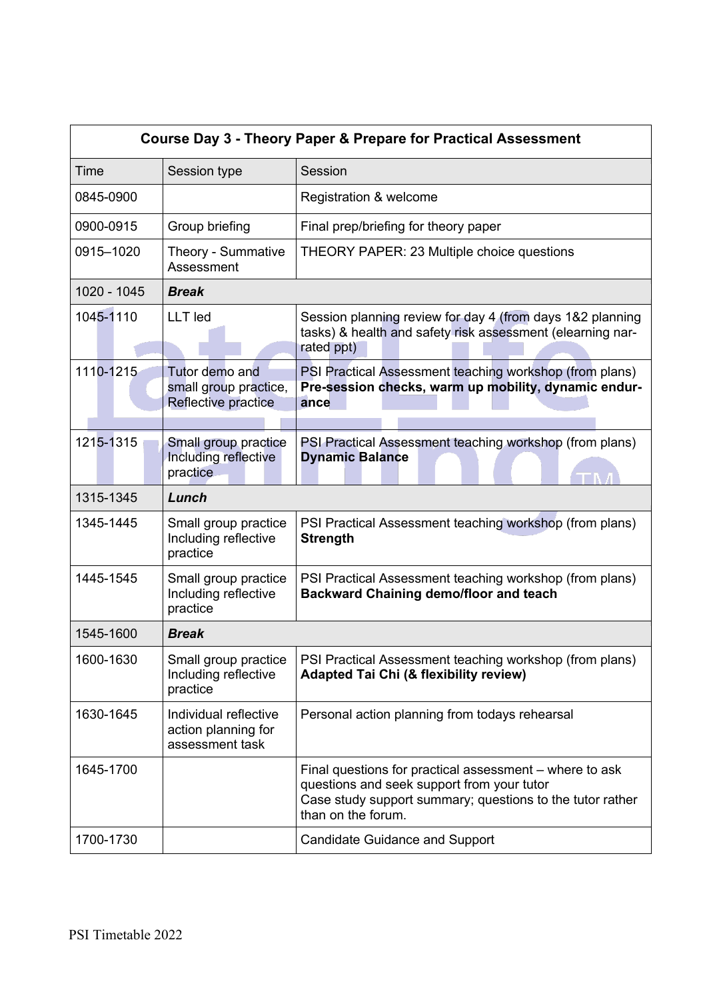| <b>Course Day 3 - Theory Paper &amp; Prepare for Practical Assessment</b> |                                                                 |                                                                                                                                                                                          |  |  |  |  |
|---------------------------------------------------------------------------|-----------------------------------------------------------------|------------------------------------------------------------------------------------------------------------------------------------------------------------------------------------------|--|--|--|--|
| Time                                                                      | Session type                                                    | Session                                                                                                                                                                                  |  |  |  |  |
| 0845-0900                                                                 |                                                                 | Registration & welcome                                                                                                                                                                   |  |  |  |  |
| 0900-0915                                                                 | Group briefing                                                  | Final prep/briefing for theory paper                                                                                                                                                     |  |  |  |  |
| 0915-1020                                                                 | Theory - Summative<br>Assessment                                | THEORY PAPER: 23 Multiple choice questions                                                                                                                                               |  |  |  |  |
| 1020 - 1045                                                               | <b>Break</b>                                                    |                                                                                                                                                                                          |  |  |  |  |
| 1045-1110                                                                 | LLT led                                                         | Session planning review for day 4 (from days 1&2 planning<br>tasks) & health and safety risk assessment (elearning nar-<br>rated ppt)                                                    |  |  |  |  |
| 1110-1215                                                                 | Tutor demo and<br>small group practice,<br>Reflective practice  | PSI Practical Assessment teaching workshop (from plans)<br>Pre-session checks, warm up mobility, dynamic endur-<br>ance                                                                  |  |  |  |  |
| 1215-1315                                                                 | Small group practice<br>Including reflective<br>practice        | PSI Practical Assessment teaching workshop (from plans)<br><b>Dynamic Balance</b>                                                                                                        |  |  |  |  |
| 1315-1345                                                                 | Lunch                                                           |                                                                                                                                                                                          |  |  |  |  |
| 1345-1445                                                                 | Small group practice<br>Including reflective<br>practice        | PSI Practical Assessment teaching workshop (from plans)<br><b>Strength</b>                                                                                                               |  |  |  |  |
| 1445-1545                                                                 | Small group practice<br>Including reflective<br>practice        | PSI Practical Assessment teaching workshop (from plans)<br><b>Backward Chaining demo/floor and teach</b>                                                                                 |  |  |  |  |
| 1545-1600                                                                 | <b>Break</b>                                                    |                                                                                                                                                                                          |  |  |  |  |
| 1600-1630                                                                 | Small group practice<br>Including reflective<br>practice        | PSI Practical Assessment teaching workshop (from plans)<br><b>Adapted Tai Chi (&amp; flexibility review)</b>                                                                             |  |  |  |  |
| 1630-1645                                                                 | Individual reflective<br>action planning for<br>assessment task | Personal action planning from todays rehearsal                                                                                                                                           |  |  |  |  |
| 1645-1700                                                                 |                                                                 | Final questions for practical assessment – where to ask<br>questions and seek support from your tutor<br>Case study support summary; questions to the tutor rather<br>than on the forum. |  |  |  |  |
| 1700-1730                                                                 |                                                                 | <b>Candidate Guidance and Support</b>                                                                                                                                                    |  |  |  |  |